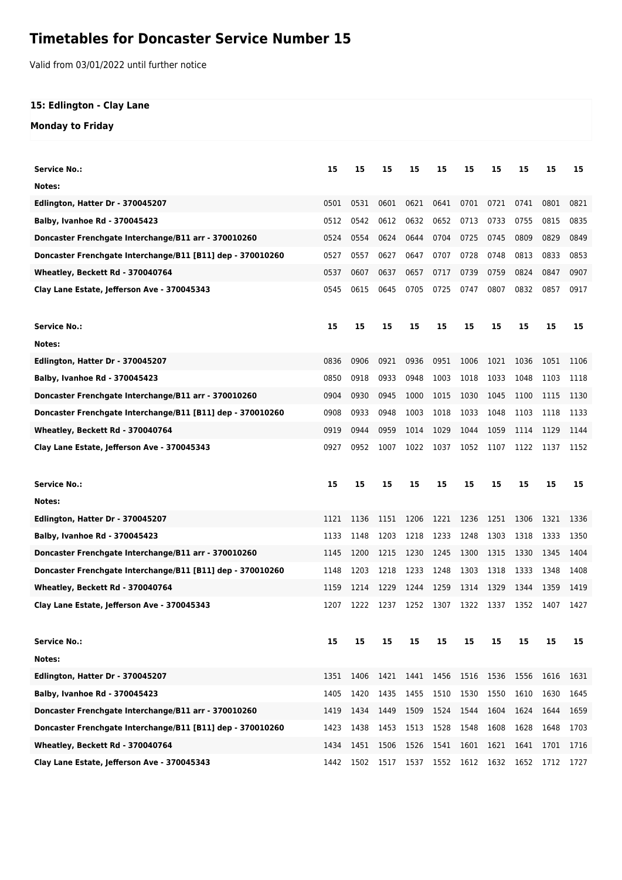## **Timetables for Doncaster Service Number 15**

Valid from 03/01/2022 until further notice

## **15: Edlington - Clay Lane**

## **Monday to Friday**

| <b>Service No.:</b>                                        | 15   | 15   | 15   | 15   | 15   | 15   | 15   | 15   | 15   | 15   |
|------------------------------------------------------------|------|------|------|------|------|------|------|------|------|------|
| Notes:                                                     |      |      |      |      |      |      |      |      |      |      |
| Edlington, Hatter Dr - 370045207                           | 0501 | 0531 | 0601 | 0621 | 0641 | 0701 | 0721 | 0741 | 0801 | 0821 |
| <b>Balby, Ivanhoe Rd - 370045423</b>                       | 0512 | 0542 | 0612 | 0632 | 0652 | 0713 | 0733 | 0755 | 0815 | 0835 |
| Doncaster Frenchgate Interchange/B11 arr - 370010260       | 0524 | 0554 | 0624 | 0644 | 0704 | 0725 | 0745 | 0809 | 0829 | 0849 |
| Doncaster Frenchgate Interchange/B11 [B11] dep - 370010260 | 0527 | 0557 | 0627 | 0647 | 0707 | 0728 | 0748 | 0813 | 0833 | 0853 |
| Wheatley, Beckett Rd - 370040764                           | 0537 | 0607 | 0637 | 0657 | 0717 | 0739 | 0759 | 0824 | 0847 | 0907 |
| Clay Lane Estate, Jefferson Ave - 370045343                | 0545 | 0615 | 0645 | 0705 | 0725 | 0747 | 0807 | 0832 | 0857 | 0917 |
| <b>Service No.:</b>                                        | 15   | 15   | 15   | 15   | 15   | 15   | 15   | 15   | 15   | 15   |
| Notes:                                                     |      |      |      |      |      |      |      |      |      |      |
| Edlington, Hatter Dr - 370045207                           | 0836 | 0906 | 0921 | 0936 | 0951 | 1006 | 1021 | 1036 | 1051 | 1106 |
| Balby, Ivanhoe Rd - 370045423                              | 0850 | 0918 | 0933 | 0948 | 1003 | 1018 | 1033 | 1048 | 1103 | 1118 |
| Doncaster Frenchgate Interchange/B11 arr - 370010260       | 0904 | 0930 | 0945 | 1000 | 1015 | 1030 | 1045 | 1100 | 1115 | 1130 |
| Doncaster Frenchgate Interchange/B11 [B11] dep - 370010260 | 0908 | 0933 | 0948 | 1003 | 1018 | 1033 | 1048 | 1103 | 1118 | 1133 |
| Wheatley, Beckett Rd - 370040764                           | 0919 | 0944 | 0959 | 1014 | 1029 | 1044 | 1059 | 1114 | 1129 | 1144 |
| Clay Lane Estate, Jefferson Ave - 370045343                | 0927 | 0952 | 1007 | 1022 | 1037 | 1052 | 1107 | 1122 | 1137 | 1152 |
|                                                            |      |      |      |      |      |      |      |      |      |      |
| <b>Service No.:</b>                                        | 15   | 15   | 15   | 15   | 15   | 15   | 15   | 15   | 15   | 15   |
| Notes:                                                     |      |      |      |      |      |      |      |      |      |      |
| Edlington, Hatter Dr - 370045207                           | 1121 | 1136 | 1151 | 1206 | 1221 | 1236 | 1251 | 1306 | 1321 | 1336 |
| <b>Balby, Ivanhoe Rd - 370045423</b>                       | 1133 | 1148 | 1203 | 1218 | 1233 | 1248 | 1303 | 1318 | 1333 | 1350 |
| Doncaster Frenchgate Interchange/B11 arr - 370010260       | 1145 | 1200 | 1215 | 1230 | 1245 | 1300 | 1315 | 1330 | 1345 | 1404 |
| Doncaster Frenchgate Interchange/B11 [B11] dep - 370010260 | 1148 | 1203 | 1218 | 1233 | 1248 | 1303 | 1318 | 1333 | 1348 | 1408 |
| Wheatley, Beckett Rd - 370040764                           | 1159 | 1214 | 1229 | 1244 | 1259 | 1314 | 1329 | 1344 | 1359 | 1419 |
| Clay Lane Estate, Jefferson Ave - 370045343                | 1207 | 1222 | 1237 | 1252 | 1307 | 1322 | 1337 | 1352 | 1407 | 1427 |
| <b>Service No.:</b>                                        | 15   | 15   | 15   | 15   | 15   | 15   | 15   | 15   | 15   | 15   |
| Notes:                                                     |      |      |      |      |      |      |      |      |      |      |
| Edlington, Hatter Dr - 370045207                           | 1351 | 1406 | 1421 | 1441 | 1456 | 1516 | 1536 | 1556 | 1616 | 1631 |
| Balby, Ivanhoe Rd - 370045423                              | 1405 | 1420 | 1435 | 1455 | 1510 | 1530 | 1550 | 1610 | 1630 | 1645 |
| Doncaster Frenchgate Interchange/B11 arr - 370010260       | 1419 | 1434 | 1449 | 1509 | 1524 | 1544 | 1604 | 1624 | 1644 | 1659 |
| Doncaster Frenchgate Interchange/B11 [B11] dep - 370010260 | 1423 | 1438 | 1453 | 1513 | 1528 | 1548 | 1608 | 1628 | 1648 | 1703 |
| Wheatley, Beckett Rd - 370040764                           | 1434 | 1451 | 1506 | 1526 | 1541 | 1601 | 1621 | 1641 | 1701 | 1716 |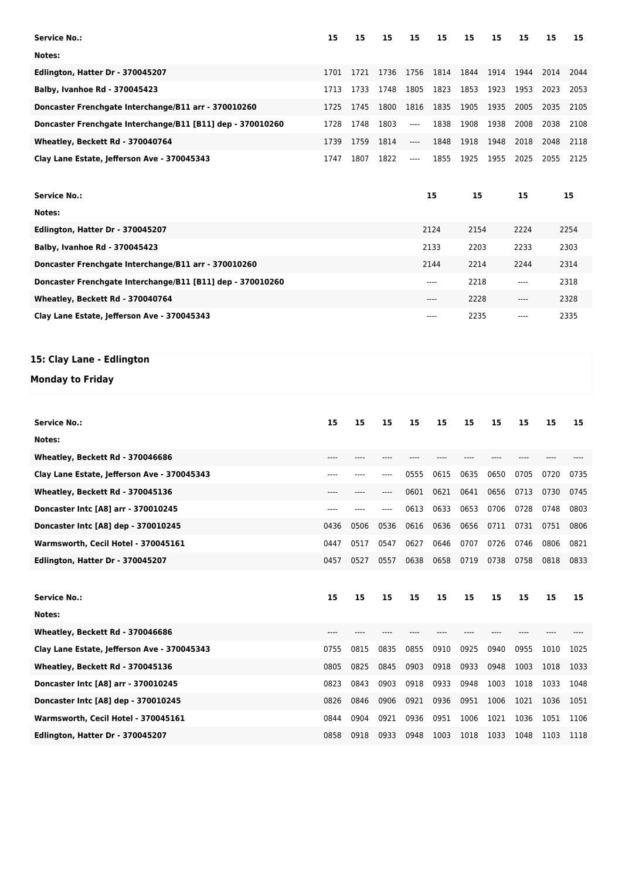| <b>Service No.:</b>                                        | 15    | 15   | 15   | 15   | 15   | 15   | 15   | 15    | 15   | 15   |
|------------------------------------------------------------|-------|------|------|------|------|------|------|-------|------|------|
| Notes:                                                     |       |      |      |      |      |      |      |       |      |      |
| Edlington, Hatter Dr - 370045207                           | 1701  | 1721 | 1736 | 1756 | 1814 | 1844 | 1914 | 1944  | 2014 | 2044 |
| Balby, Ivanhoe Rd - 370045423                              | 1713  | 1733 | 1748 | 1805 | 1823 | 1853 | 1923 | 1953  | 2023 | 2053 |
| Doncaster Frenchgate Interchange/B11 arr - 370010260       | 1725  | 1745 | 1800 | 1816 | 1835 | 1905 | 1935 | 2005  | 2035 | 2105 |
| Doncaster Frenchgate Interchange/B11 [B11] dep - 370010260 | 1728  | 1748 | 1803 | ---- | 1838 | 1908 | 1938 | 2008  | 2038 | 2108 |
| Wheatley, Beckett Rd - 370040764                           | 1739  | 1759 | 1814 | ---- | 1848 | 1918 | 1948 | 2018  | 2048 | 2118 |
| Clay Lane Estate, Jefferson Ave - 370045343                | 1747  | 1807 | 1822 | ---- | 1855 | 1925 | 1955 | 2025  | 2055 | 2125 |
| <b>Service No.:</b>                                        |       |      |      |      | 15   | 15   |      | 15    |      | 15   |
| Notes:                                                     |       |      |      |      |      |      |      |       |      |      |
| Edlington, Hatter Dr - 370045207                           |       |      |      |      | 2124 | 2154 |      | 2224  |      | 2254 |
| <b>Balby, Ivanhoe Rd - 370045423</b>                       |       |      |      |      | 2133 | 2203 |      | 2233  |      | 2303 |
| Doncaster Frenchgate Interchange/B11 arr - 370010260       |       |      |      |      | 2144 | 2214 |      | 2244  |      | 2314 |
| Doncaster Frenchgate Interchange/B11 [B11] dep - 370010260 |       |      |      |      | ---- | 2218 |      | $---$ |      | 2318 |
| Wheatley, Beckett Rd - 370040764                           |       |      |      |      | ---- | 2228 |      | $---$ |      | 2328 |
| Clay Lane Estate, Jefferson Ave - 370045343                |       |      |      |      | ---- | 2235 |      | ----  |      | 2335 |
| 15: Clay Lane - Edlington                                  |       |      |      |      |      |      |      |       |      |      |
|                                                            |       |      |      |      |      |      |      |       |      |      |
| <b>Monday to Friday</b>                                    |       |      |      |      |      |      |      |       |      |      |
|                                                            |       |      |      |      |      |      |      |       |      |      |
| <b>Service No.:</b>                                        | 15    | 15   | 15   | 15   | 15   | 15   | 15   | 15    | 15   | 15   |
| Notes:                                                     |       |      |      |      |      |      |      |       |      |      |
| Wheatley, Beckett Rd - 370046686                           | $---$ | ---- |      |      |      |      |      |       |      |      |
| Clay Lane Estate, Jefferson Ave - 370045343                |       |      |      | 0555 | 0615 | 0635 | 0650 | 0705  | 0720 | 0735 |
| Wheatley, Beckett Rd - 370045136                           | ----  |      |      | 0601 | 0621 | 0641 | 0656 | 0713  | 0730 | 0745 |
| Doncaster Intc [A8] arr - 370010245                        | $---$ |      | ---- | 0613 | 0633 | 0653 | 0706 | 0728  | 0748 | 0803 |
| Doncaster Intc [A8] dep - 370010245                        | 0436  | 0506 | 0536 | 0616 | 0636 | 0656 | 0711 | 0731  | 0751 | 0806 |
| Warmsworth, Cecil Hotel - 370045161                        | 0447  | 0517 | 0547 | 0627 | 0646 | 0707 | 0726 | 0746  | 0806 | 0821 |
| Edlington, Hatter Dr - 370045207                           | 0457  | 0527 | 0557 | 0638 | 0658 | 0719 | 0738 | 0758  | 0818 | 0833 |
|                                                            |       |      |      |      |      |      |      |       |      |      |
| <b>Service No.:</b>                                        | 15    | 15   | 15   | 15   | 15   | 15   | 15   | 15    | 15   | 15   |
| Notes:                                                     |       |      |      |      |      |      |      |       |      |      |
| Wheatley, Beckett Rd - 370046686                           | ----  | ---- | ---- | ---- | ---- | ---- | ---- | ----  | ---- |      |
| Clay Lane Estate, Jefferson Ave - 370045343                | 0755  | 0815 | 0835 | 0855 | 0910 | 0925 | 0940 | 0955  | 1010 | 1025 |
| Wheatley, Beckett Rd - 370045136                           | 0805  | 0825 | 0845 | 0903 | 0918 | 0933 | 0948 | 1003  | 1018 | 1033 |
| Doncaster Intc [A8] arr - 370010245                        | 0823  | 0843 | 0903 | 0918 | 0933 | 0948 | 1003 | 1018  | 1033 | 1048 |
| Doncaster Intc [A8] dep - 370010245                        | 0826  | 0846 | 0906 | 0921 | 0936 | 0951 | 1006 | 1021  | 1036 | 1051 |

**Edlington, Hatter Dr - 370045207** 0858 0918 0933 0948 1003 1018 1033 1048 1103 1118